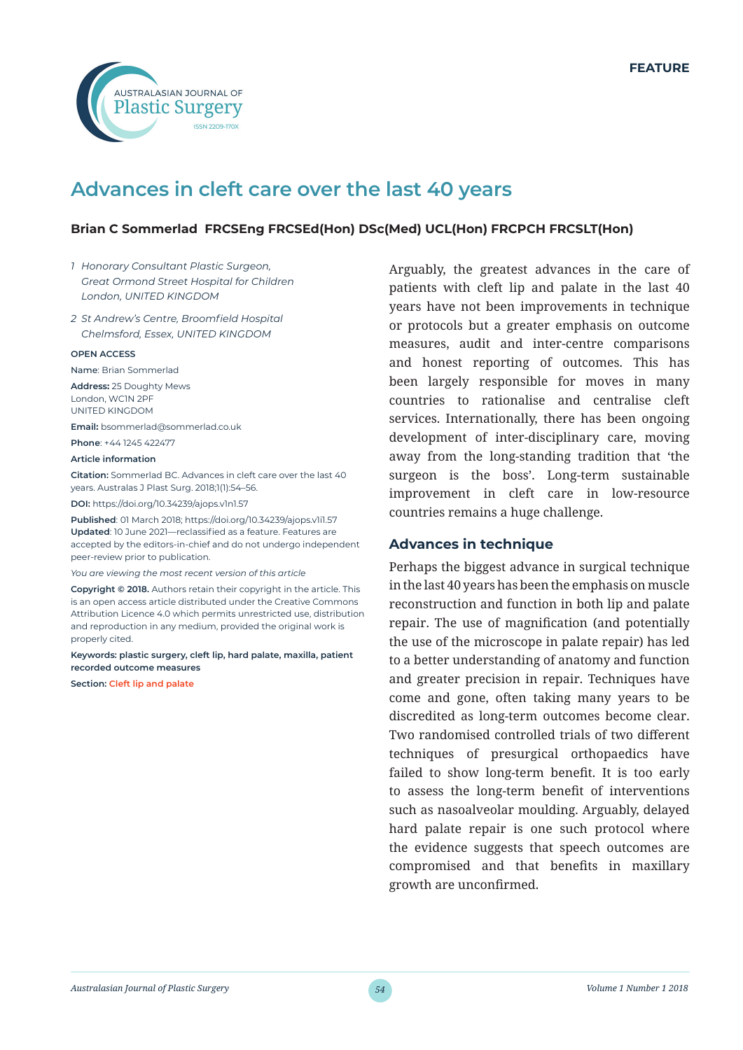

# **Advances in cleft care over the last 40 years**

# **Brian C Sommerlad FRCSEng FRCSEd(Hon) DSc(Med) UCL(Hon) FRCPCH FRCSLT(Hon)**

- *1 Honorary Consultant Plastic Surgeon, Great Ormond Street Hospital for Children London, UNITED KINGDOM*
- *2 St Andrew's Centre, Broomfield Hospital Chelmsford, Essex, UNITED KINGDOM*

#### **OPEN ACCESS**

Name: Brian Sommerlad **Address:** 25 Doughty Mews London, WC1N 2PF

UNITED KINGDOM

**Email:** bsommerlad@sommerlad.co.uk **Phone**: +44 1245 422477

#### **Article information**

**Citation:** Sommerlad BC. Advances in cleft care over the last 40 years. Australas J Plast Surg. 2018;1(1):54–56.

**DOI:** https://doi.org/10.34239/ajops.v1n1.57

**Published**: 01 March 2018; https://doi.org/10.34239/ajops.v1i1.57 **Updated**: 10 June 2021—reclassified as a feature. Features are accepted by the editors-in-chief and do not undergo independent peer-review prior to publication.

*You are viewing the most recent version of this article*

**Copyright © 2018.** Authors retain their copyright in the article. This is an open access article distributed under the Creative Commons Attribution Licence 4.0 which permits unrestricted use, distribution and reproduction in any medium, provided the original work is properly cited.

**Keywords: plastic surgery, cleft lip, hard palate, maxilla, patient recorded outcome measures**

**Section: Cleft lip and palate**

Arguably, the greatest advances in the care of patients with cleft lip and palate in the last 40 years have not been improvements in technique or protocols but a greater emphasis on outcome measures, audit and inter-centre comparisons and honest reporting of outcomes. This has been largely responsible for moves in many countries to rationalise and centralise cleft services. Internationally, there has been ongoing development of inter-disciplinary care, moving away from the long-standing tradition that 'the surgeon is the boss'. Long-term sustainable improvement in cleft care in low-resource countries remains a huge challenge.

#### **Advances in technique**

Perhaps the biggest advance in surgical technique in the last 40 years has been the emphasis on muscle reconstruction and function in both lip and palate repair. The use of magnification (and potentially the use of the microscope in palate repair) has led to a better understanding of anatomy and function and greater precision in repair. Techniques have come and gone, often taking many years to be discredited as long-term outcomes become clear. Two randomised controlled trials of two different techniques of presurgical orthopaedics have failed to show long-term benefit. It is too early to assess the long-term benefit of interventions such as nasoalveolar moulding. Arguably, delayed hard palate repair is one such protocol where the evidence suggests that speech outcomes are compromised and that benefits in maxillary growth are unconfirmed.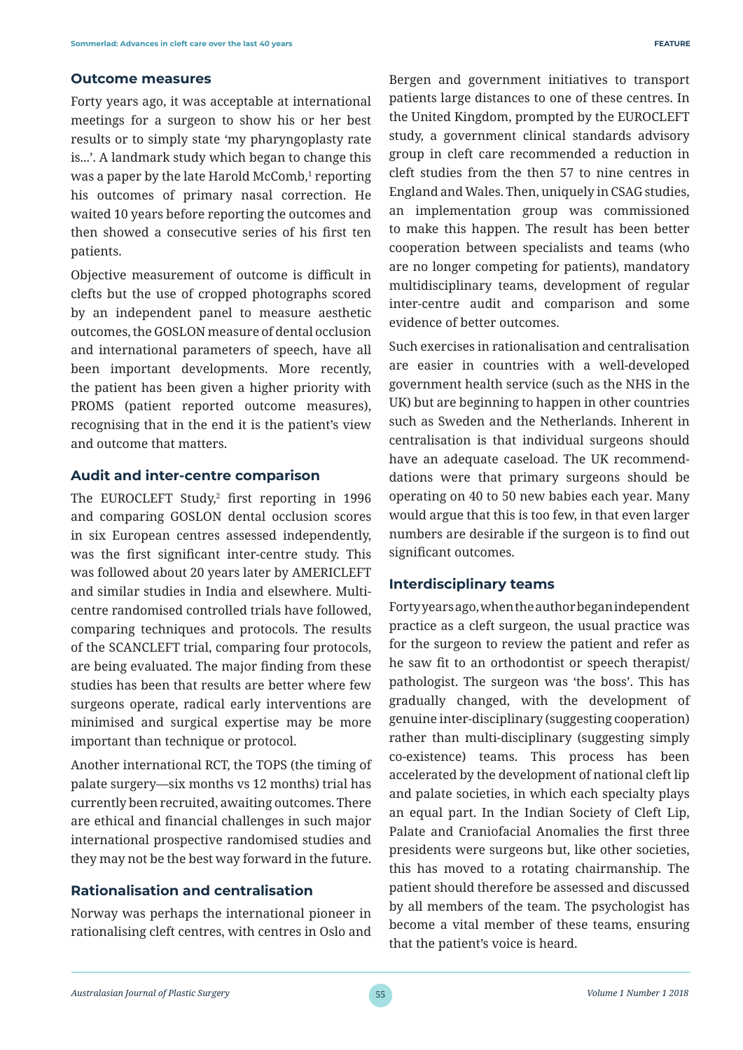#### **Outcome measures**

Forty years ago, it was acceptable at international meetings for a surgeon to show his or her best results or to simply state 'my pharyngoplasty rate is...'. A landmark study which began to change this was a paper by the late Harold McComb,<del>'</del> reporting his outcomes of primary nasal correction. He waited 10 years before reporting the outcomes and then showed a consecutive series of his first ten patients.

Objective measurement of outcome is difficult in clefts but the use of cropped photographs scored by an independent panel to measure aesthetic outcomes, the GOSLON measure of dental occlusion and international parameters of speech, have all been important developments. More recently, the patient has been given a higher priority with PROMS (patient reported outcome measures), recognising that in the end it is the patient's view and outcome that matters.

### **Audit and inter-centre comparison**

The EUROCLEFT Study,2 first reporting in 1996 and comparing GOSLON dental occlusion scores in six European centres assessed independently, was the first significant inter-centre study. This was followed about 20 years later by AMERICLEFT and similar studies in India and elsewhere. Multicentre randomised controlled trials have followed, comparing techniques and protocols. The results of the SCANCLEFT trial, comparing four protocols, are being evaluated. The major finding from these studies has been that results are better where few surgeons operate, radical early interventions are minimised and surgical expertise may be more important than technique or protocol.

Another international RCT, the TOPS (the timing of palate surgery—six months vs 12 months) trial has currently been recruited, awaiting outcomes. There are ethical and financial challenges in such major international prospective randomised studies and they may not be the best way forward in the future.

### **Rationalisation and centralisation**

Norway was perhaps the international pioneer in rationalising cleft centres, with centres in Oslo and Bergen and government initiatives to transport patients large distances to one of these centres. In the United Kingdom, prompted by the EUROCLEFT study, a government clinical standards advisory group in cleft care recommended a reduction in cleft studies from the then 57 to nine centres in England and Wales. Then, uniquely in CSAG studies, an implementation group was commissioned to make this happen. The result has been better cooperation between specialists and teams (who are no longer competing for patients), mandatory multidisciplinary teams, development of regular inter-centre audit and comparison and some evidence of better outcomes.

Such exercises in rationalisation and centralisation are easier in countries with a well-developed government health service (such as the NHS in the UK) but are beginning to happen in other countries such as Sweden and the Netherlands. Inherent in centralisation is that individual surgeons should have an adequate caseload. The UK recommenddations were that primary surgeons should be operating on 40 to 50 new babies each year. Many would argue that this is too few, in that even larger numbers are desirable if the surgeon is to find out significant outcomes.

## **Interdisciplinary teams**

Forty years ago, when the author began independent practice as a cleft surgeon, the usual practice was for the surgeon to review the patient and refer as he saw fit to an orthodontist or speech therapist/ pathologist. The surgeon was 'the boss'. This has gradually changed, with the development of genuine inter-disciplinary (suggesting cooperation) rather than multi-disciplinary (suggesting simply co-existence) teams. This process has been accelerated by the development of national cleft lip and palate societies, in which each specialty plays an equal part. In the Indian Society of Cleft Lip, Palate and Craniofacial Anomalies the first three presidents were surgeons but, like other societies, this has moved to a rotating chairmanship. The patient should therefore be assessed and discussed by all members of the team. The psychologist has become a vital member of these teams, ensuring that the patient's voice is heard.